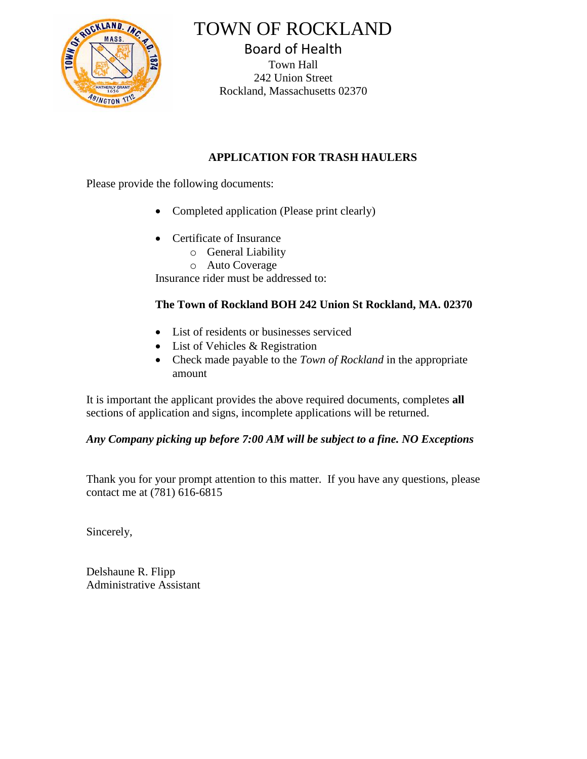

TOWN OF ROCKLAND

Board of Health Town Hall 242 Union Street Rockland, Massachusetts 02370

## **APPLICATION FOR TRASH HAULERS**

Please provide the following documents:

- Completed application (Please print clearly)
- Certificate of Insurance
	- o General Liability
	- o Auto Coverage

Insurance rider must be addressed to:

## **The Town of Rockland BOH 242 Union St Rockland, MA. 02370**

- List of residents or businesses serviced
- List of Vehicles & Registration
- Check made payable to the *Town of Rockland* in the appropriate amount

It is important the applicant provides the above required documents, completes **all** sections of application and signs, incomplete applications will be returned.

## *Any Company picking up before 7:00 AM will be subject to a fine. NO Exceptions*

Thank you for your prompt attention to this matter. If you have any questions, please contact me at (781) 616-6815

Sincerely,

Delshaune R. Flipp Administrative Assistant